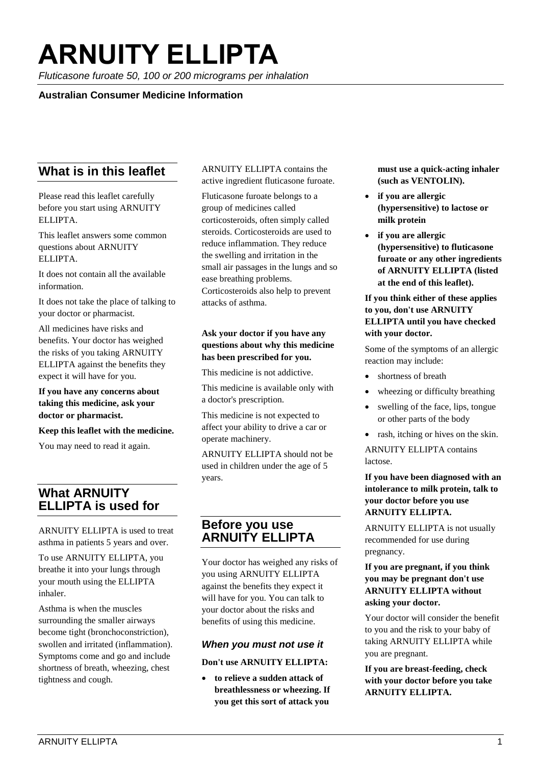# **ARNUITY ELLIPTA**

*Fluticasone furoate 50, 100 or 200 micrograms per inhalation*

## **Australian Consumer Medicine Information**

# **What is in this leaflet**

Please read this leaflet carefully before you start using ARNUITY ELLIPTA.

This leaflet answers some common questions about ARNUITY ELLIPTA.

It does not contain all the available information.

It does not take the place of talking to your doctor or pharmacist.

All medicines have risks and benefits. Your doctor has weighed the risks of you taking ARNUITY ELLIPTA against the benefits they expect it will have for you.

**If you have any concerns about taking this medicine, ask your doctor or pharmacist.** 

**Keep this leaflet with the medicine.** 

You may need to read it again.

# **What ARNUITY ELLIPTA is used for**

ARNUITY ELLIPTA is used to treat asthma in patients 5 years and over.

To use ARNUITY ELLIPTA, you breathe it into your lungs through your mouth using the ELLIPTA inhaler.

Asthma is when the muscles surrounding the smaller airways become tight (bronchoconstriction), swollen and irritated (inflammation). Symptoms come and go and include shortness of breath, wheezing, chest tightness and cough.

ARNUITY ELLIPTA contains the active ingredient fluticasone furoate.

Fluticasone furoate belongs to a group of medicines called corticosteroids, often simply called steroids. Corticosteroids are used to reduce inflammation. They reduce the swelling and irritation in the small air passages in the lungs and so ease breathing problems. Corticosteroids also help to prevent attacks of asthma.

#### **Ask your doctor if you have any questions about why this medicine has been prescribed for you.**

This medicine is not addictive.

This medicine is available only with a doctor's prescription.

This medicine is not expected to affect your ability to drive a car or operate machinery.

ARNUITY ELLIPTA should not be used in children under the age of 5 years.

## **Before you use ARNUITY ELLIPTA**

Your doctor has weighed any risks of you using ARNUITY ELLIPTA against the benefits they expect it will have for you. You can talk to your doctor about the risks and benefits of using this medicine.

#### *When you must not use it*

#### **Don't use ARNUITY ELLIPTA:**

• **to relieve a sudden attack of breathlessness or wheezing. If you get this sort of attack you** 

**must use a quick-acting inhaler (such as VENTOLIN).**

- **if you are allergic (hypersensitive) to lactose or milk protein**
- **if you are allergic (hypersensitive) to fluticasone furoate or any other ingredients of ARNUITY ELLIPTA (listed at the end of this leaflet).**

#### **If you think either of these applies to you, don't use ARNUITY ELLIPTA until you have checked with your doctor.**

Some of the symptoms of an allergic reaction may include:

- shortness of breath
- wheezing or difficulty breathing
- swelling of the face, lips, tongue or other parts of the body
- rash, itching or hives on the skin.

ARNUITY ELLIPTA contains lactose.

#### **If you have been diagnosed with an intolerance to milk protein, talk to your doctor before you use ARNUITY ELLIPTA.**

ARNUITY ELLIPTA is not usually recommended for use during pregnancy.

#### **If you are pregnant, if you think you may be pregnant don't use ARNUITY ELLIPTA without asking your doctor.**

Your doctor will consider the benefit to you and the risk to your baby of taking ARNUITY ELLIPTA while you are pregnant.

**If you are breast-feeding, check with your doctor before you take ARNUITY ELLIPTA.**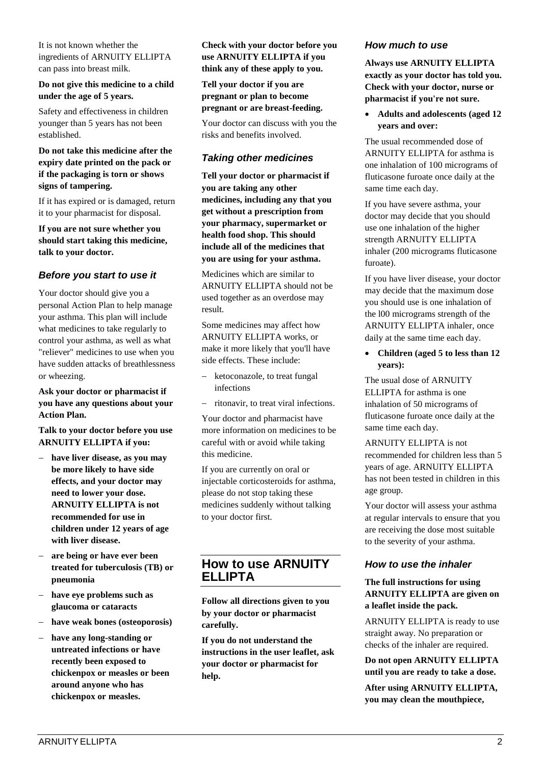It is not known whether the ingredients of ARNUITY ELLIPTA can pass into breast milk.

#### **Do not give this medicine to a child under the age of 5 years.**

Safety and effectiveness in children younger than 5 years has not been established.

#### **Do not take this medicine after the expiry date printed on the pack or if the packaging is torn or shows signs of tampering.**

If it has expired or is damaged, return it to your pharmacist for disposal.

**If you are not sure whether you should start taking this medicine, talk to your doctor.** 

## *Before you start to use it*

Your doctor should give you a personal Action Plan to help manage your asthma. This plan will include what medicines to take regularly to control your asthma, as well as what "reliever" medicines to use when you have sudden attacks of breathlessness or wheezing.

#### **Ask your doctor or pharmacist if you have any questions about your Action Plan.**

**Talk to your doctor before you use ARNUITY ELLIPTA if you:**

- **have liver disease, as you may be more likely to have side effects, and your doctor may need to lower your dose. ARNUITY ELLIPTA is not recommended for use in children under 12 years of age with liver disease.**
- **are being or have ever been treated for tuberculosis (TB) or pneumonia**
- **have eye problems such as glaucoma or cataracts**
- **have weak bones (osteoporosis)**
- **have any long-standing or untreated infections or have recently been exposed to chickenpox or measles or been around anyone who has chickenpox or measles.**

#### **Check with your doctor before you use ARNUITY ELLIPTA if you think any of these apply to you.**

#### **Tell your doctor if you are pregnant or plan to become pregnant or are breast-feeding.**

Your doctor can discuss with you the risks and benefits involved.

## *Taking other medicines*

**Tell your doctor or pharmacist if you are taking any other medicines, including any that you get without a prescription from your pharmacy, supermarket or health food shop. This should include all of the medicines that you are using for your asthma.**

Medicines which are similar to ARNUITY ELLIPTA should not be used together as an overdose may result.

Some medicines may affect how ARNUITY ELLIPTA works, or make it more likely that you'll have side effects. These include:

- ketoconazole, to treat fungal infections
- ritonavir, to treat viral infections.

Your doctor and pharmacist have more information on medicines to be careful with or avoid while taking this medicine.

If you are currently on oral or injectable corticosteroids for asthma, please do not stop taking these medicines suddenly without talking to your doctor first.

# **How to use ARNUITY ELLIPTA**

**Follow all directions given to you by your doctor or pharmacist carefully.**

**If you do not understand the instructions in the user leaflet, ask your doctor or pharmacist for help.**

#### *How much to use*

**Always use ARNUITY ELLIPTA exactly as your doctor has told you. Check with your doctor, nurse or pharmacist if you're not sure.**

• **Adults and adolescents (aged 12 years and over:**

The usual recommended dose of ARNUITY ELLIPTA for asthma is one inhalation of 100 micrograms of fluticasone furoate once daily at the same time each day.

If you have severe asthma, your doctor may decide that you should use one inhalation of the higher strength ARNUITY ELLIPTA inhaler (200 micrograms fluticasone furoate).

If you have liver disease, your doctor may decide that the maximum dose you should use is one inhalation of the l00 micrograms strength of the ARNUITY ELLIPTA inhaler, once daily at the same time each day.

• **Children (aged 5 to less than 12 years):**

The usual dose of ARNUITY ELLIPTA for asthma is one inhalation of 50 micrograms of fluticasone furoate once daily at the same time each day.

ARNUITY ELLIPTA is not recommended for children less than 5 years of age. ARNUITY ELLIPTA has not been tested in children in this age group.

Your doctor will assess your asthma at regular intervals to ensure that you are receiving the dose most suitable to the severity of your asthma.

## *How to use the inhaler*

#### **The full instructions for using ARNUITY ELLIPTA are given on a leaflet inside the pack.**

ARNUITY ELLIPTA is ready to use straight away. No preparation or checks of the inhaler are required.

**Do not open ARNUITY ELLIPTA until you are ready to take a dose.**

**After using ARNUITY ELLIPTA, you may clean the mouthpiece,**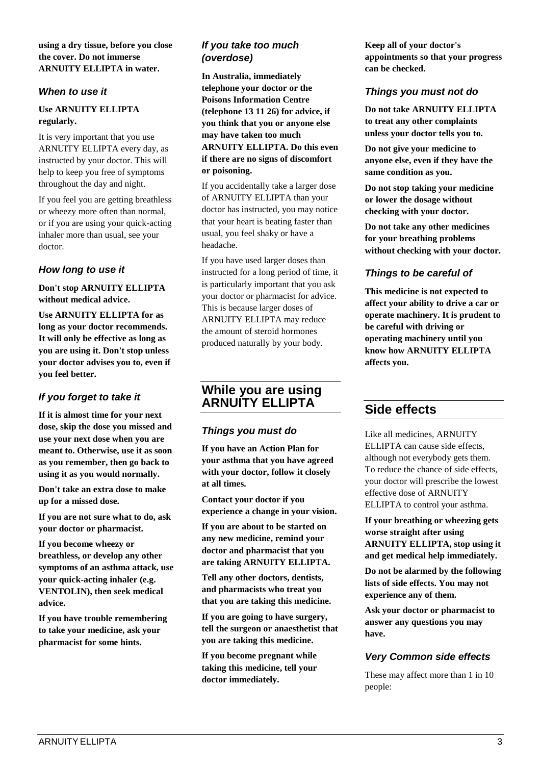#### **using a dry tissue, before you close the cover. Do not immerse ARNUITY ELLIPTA in water.**

## *When to use it*

## **Use ARNUITY ELLIPTA regularly.**

It is very important that you use ARNUITY ELLIPTA every day, as instructed by your doctor. This will help to keep you free of symptoms throughout the day and night.

If you feel you are getting breathless or wheezy more often than normal, or if you are using your quick-acting inhaler more than usual, see your doctor.

## *How long to use it*

#### **Don't stop ARNUITY ELLIPTA without medical advice.**

**Use ARNUITY ELLIPTA for as long as your doctor recommends. It will only be effective as long as you are using it. Don't stop unless your doctor advises you to, even if you feel better.**

# *If you forget to take it*

**If it is almost time for your next dose, skip the dose you missed and use your next dose when you are meant to. Otherwise, use it as soon as you remember, then go back to using it as you would normally.**

**Don't take an extra dose to make up for a missed dose.**

**If you are not sure what to do, ask your doctor or pharmacist.**

**If you become wheezy or breathless, or develop any other symptoms of an asthma attack, use your quick-acting inhaler (e.g. VENTOLIN), then seek medical advice.**

**If you have trouble remembering to take your medicine, ask your pharmacist for some hints.**

## *If you take too much (overdose)*

**In Australia, immediately telephone your doctor or the Poisons Information Centre (telephone 13 11 26) for advice, if you think that you or anyone else may have taken too much ARNUITY ELLIPTA. Do this even if there are no signs of discomfort or poisoning.**

If you accidentally take a larger dose of ARNUITY ELLIPTA than your doctor has instructed, you may notice that your heart is beating faster than usual, you feel shaky or have a headache.

If you have used larger doses than instructed for a long period of time, it is particularly important that you ask your doctor or pharmacist for advice. This is because larger doses of ARNUITY ELLIPTA may reduce the amount of steroid hormones produced naturally by your body.

# **While you are using ARNUITY ELLIPTA**

## *Things you must do*

**If you have an Action Plan for your asthma that you have agreed with your doctor, follow it closely at all times.**

**Contact your doctor if you experience a change in your vision.**

**If you are about to be started on any new medicine, remind your doctor and pharmacist that you are taking ARNUITY ELLIPTA.** 

**Tell any other doctors, dentists, and pharmacists who treat you that you are taking this medicine.** 

**If you are going to have surgery, tell the surgeon or anaesthetist that you are taking this medicine.** 

**If you become pregnant while taking this medicine, tell your doctor immediately.** 

**Keep all of your doctor's appointments so that your progress can be checked.** 

## *Things you must not do*

**Do not take ARNUITY ELLIPTA to treat any other complaints unless your doctor tells you to.** 

**Do not give your medicine to anyone else, even if they have the same condition as you.** 

**Do not stop taking your medicine or lower the dosage without checking with your doctor.** 

**Do not take any other medicines for your breathing problems without checking with your doctor.**

## *Things to be careful of*

**This medicine is not expected to affect your ability to drive a car or operate machinery. It is prudent to be careful with driving or operating machinery until you know how ARNUITY ELLIPTA affects you.** 

# **Side effects**

Like all medicines, ARNUITY ELLIPTA can cause side effects, although not everybody gets them. To reduce the chance of side effects, your doctor will prescribe the lowest effective dose of ARNUITY ELLIPTA to control your asthma.

**If your breathing or wheezing gets worse straight after using ARNUITY ELLIPTA, stop using it and get medical help immediately.**

**Do not be alarmed by the following lists of side effects. You may not experience any of them.**

**Ask your doctor or pharmacist to answer any questions you may have.**

# *Very Common side effects*

These may affect more than 1 in 10 people: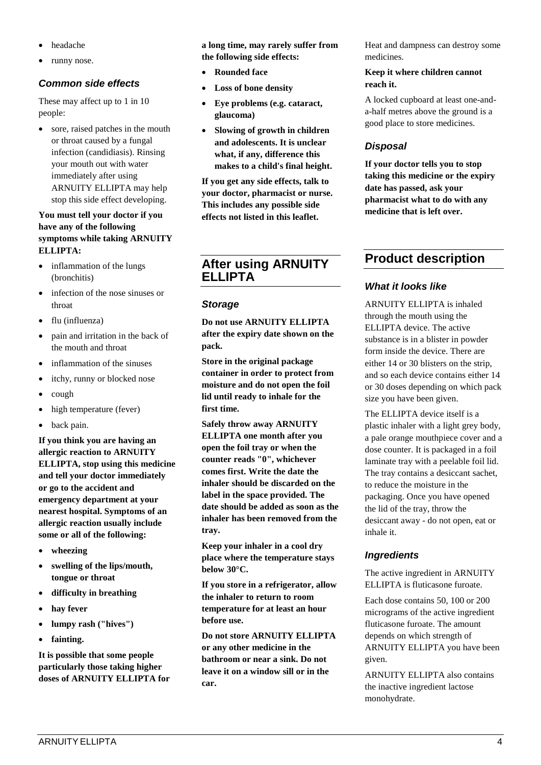- headache
- runny nose.

## *Common side effects*

These may affect up to 1 in 10 people:

• sore, raised patches in the mouth or throat caused by a fungal infection (candidiasis). Rinsing your mouth out with water immediately after using ARNUITY ELLIPTA may help stop this side effect developing.

#### **You must tell your doctor if you have any of the following symptoms while taking ARNUITY ELLIPTA:**

- inflammation of the lungs (bronchitis)
- infection of the nose sinuses or throat
- flu (influenza)
- pain and irritation in the back of the mouth and throat
- inflammation of the sinuses
- itchy, runny or blocked nose
- cough
- high temperature (fever)
- back pain.

**If you think you are having an allergic reaction to ARNUITY ELLIPTA, stop using this medicine and tell your doctor immediately or go to the accident and emergency department at your nearest hospital. Symptoms of an allergic reaction usually include some or all of the following:**

- **wheezing**
- **swelling of the lips/mouth, tongue or throat**
- **difficulty in breathing**
- **hay fever**
- **lumpy rash ("hives")**
- **fainting.**

**It is possible that some people particularly those taking higher doses of ARNUITY ELLIPTA for**  **a long time, may rarely suffer from the following side effects:**

- **Rounded face**
- **Loss of bone density**
- **Eye problems (e.g. cataract, glaucoma)**
- **Slowing of growth in children and adolescents. It is unclear what, if any, difference this makes to a child's final height.**

**If you get any side effects, talk to your doctor, pharmacist or nurse. This includes any possible side effects not listed in this leaflet.**

# **After using ARNUITY ELLIPTA**

## *Storage*

**Do not use ARNUITY ELLIPTA after the expiry date shown on the pack.**

**Store in the original package container in order to protect from moisture and do not open the foil lid until ready to inhale for the first time.** 

**Safely throw away ARNUITY ELLIPTA one month after you open the foil tray or when the counter reads "0", whichever comes first. Write the date the inhaler should be discarded on the label in the space provided. The date should be added as soon as the inhaler has been removed from the tray.**

**Keep your inhaler in a cool dry place where the temperature stays below 30°C.** 

**If you store in a refrigerator, allow the inhaler to return to room temperature for at least an hour before use.**

**Do not store ARNUITY ELLIPTA or any other medicine in the bathroom or near a sink. Do not leave it on a window sill or in the car.** 

Heat and dampness can destroy some medicines.

#### **Keep it where children cannot reach it.**

A locked cupboard at least one-anda-half metres above the ground is a good place to store medicines.

## *Disposal*

**If your doctor tells you to stop taking this medicine or the expiry date has passed, ask your pharmacist what to do with any medicine that is left over.** 

# **Product description**

## *What it looks like*

ARNUITY ELLIPTA is inhaled through the mouth using the ELLIPTA device. The active substance is in a blister in powder form inside the device. There are either 14 or 30 blisters on the strip, and so each device contains either 14 or 30 doses depending on which pack size you have been given.

The ELLIPTA device itself is a plastic inhaler with a light grey body, a pale orange mouthpiece cover and a dose counter. It is packaged in a foil laminate tray with a peelable foil lid. The tray contains a desiccant sachet, to reduce the moisture in the packaging. Once you have opened the lid of the tray, throw the desiccant away - do not open, eat or inhale it.

## *Ingredients*

The active ingredient in ARNUITY ELLIPTA is fluticasone furoate.

Each dose contains 50, 100 or 200 micrograms of the active ingredient fluticasone furoate. The amount depends on which strength of ARNUITY ELLIPTA you have been given.

ARNUITY ELLIPTA also contains the inactive ingredient lactose monohydrate.